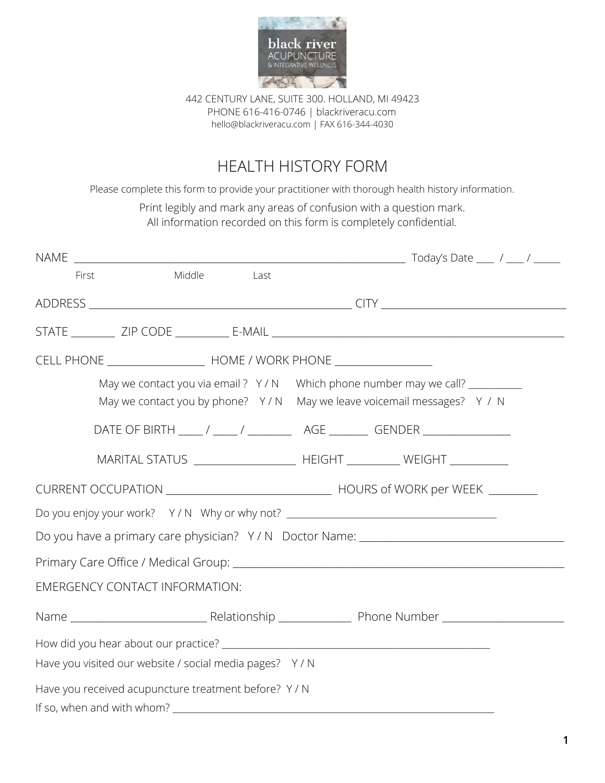

442 CENTURY LANE, SUITE 300. HOLLAND, MI 49423 PHONE 616-416-0746 | blackriveracu.com [hello@blackriveracu.com](mailto:hello@blackriveracu.com) | FAX 616-344-4030

# HEALTH HISTORY FORM

Please complete this form to provide your practitioner with thorough health history information.

Print legibly and mark any areas of confusion with a question mark. All information recorded on this form is completely confidential.

| Do you have a primary care physician? Y/N Doctor Name: __________________________ |
|-----------------------------------------------------------------------------------|
|                                                                                   |
|                                                                                   |
|                                                                                   |
|                                                                                   |
|                                                                                   |
|                                                                                   |
|                                                                                   |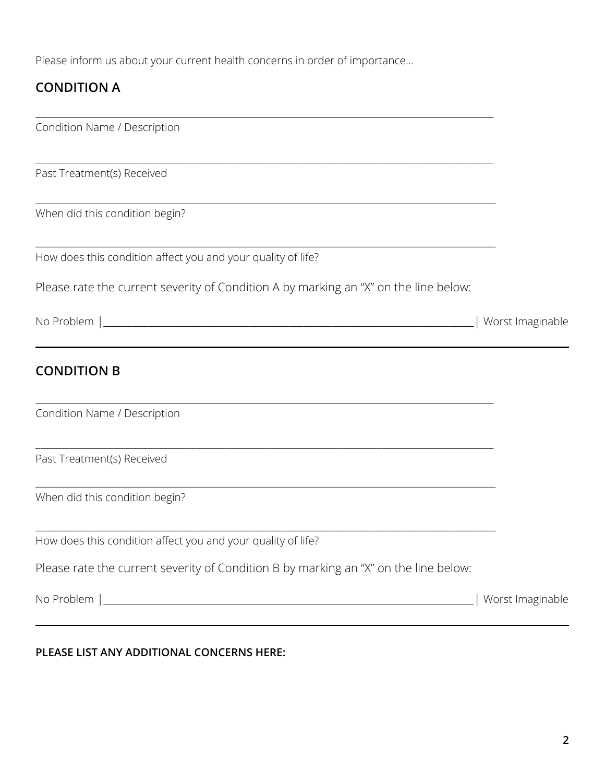Please inform us about your current health concerns in order of importance…

# **CONDITION A**

| Condition Name / Description                                                         |                  |
|--------------------------------------------------------------------------------------|------------------|
| Past Treatment(s) Received                                                           |                  |
| When did this condition begin?                                                       |                  |
| How does this condition affect you and your quality of life?                         |                  |
| Please rate the current severity of Condition A by marking an "X" on the line below: |                  |
|                                                                                      | Worst Imaginable |
| <b>CONDITION B</b>                                                                   |                  |
| Condition Name / Description                                                         |                  |
| Past Treatment(s) Received                                                           |                  |
| When did this condition begin?                                                       |                  |
| How does this condition affect you and your quality of life?                         |                  |
| Please rate the current severity of Condition B by marking an "X" on the line below: |                  |
|                                                                                      |                  |
|                                                                                      |                  |

## **PLEASE LIST ANY ADDITIONAL CONCERNS HERE:**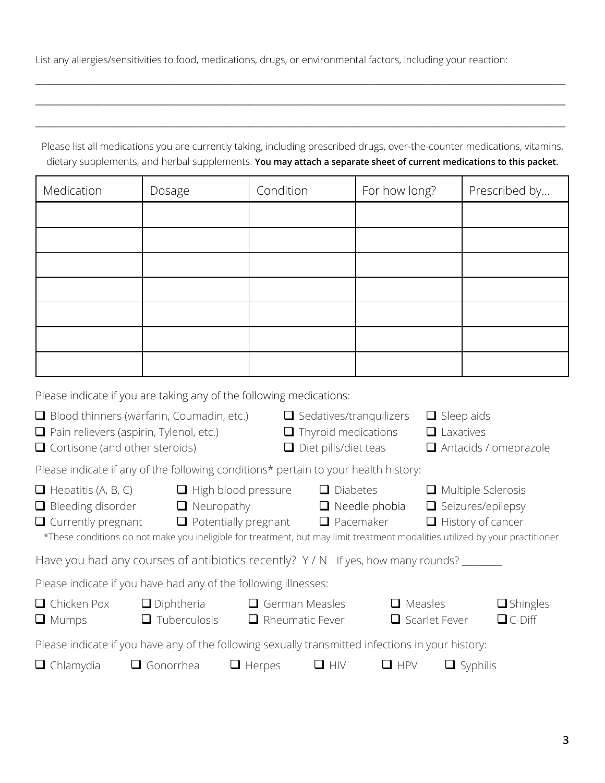List any allergies/sensitivities to food, medications, drugs, or environmental factors, including your reaction:

\_\_\_\_\_\_\_\_\_\_\_\_\_\_\_\_\_\_\_\_\_\_\_\_\_\_\_\_\_\_\_\_\_\_\_\_\_\_\_\_\_\_\_\_\_\_\_\_\_\_\_\_\_\_\_\_\_\_\_\_\_\_\_\_\_\_\_\_\_\_\_\_\_\_\_\_\_\_\_\_\_\_\_\_\_\_\_

\_\_\_\_\_\_\_\_\_\_\_\_\_\_\_\_\_\_\_\_\_\_\_\_\_\_\_\_\_\_\_\_\_\_\_\_\_\_\_\_\_\_\_\_\_\_\_\_\_\_\_\_\_\_\_\_\_\_\_\_\_\_\_\_\_\_\_\_\_\_\_\_\_\_\_\_\_\_\_\_\_\_\_\_\_\_\_

|                                                                                     | Please list all medications you are currently taking, including prescribed drugs, over-the-counter medications, vitamins,<br>dietary supplements, and herbal supplements. You may attach a separate sheet of current medications to this packet. |                                                                            |                                                           |                                |                                                                                   |                                  |
|-------------------------------------------------------------------------------------|--------------------------------------------------------------------------------------------------------------------------------------------------------------------------------------------------------------------------------------------------|----------------------------------------------------------------------------|-----------------------------------------------------------|--------------------------------|-----------------------------------------------------------------------------------|----------------------------------|
| Medication                                                                          | Dosage                                                                                                                                                                                                                                           | Condition                                                                  |                                                           | For how long?                  |                                                                                   | Prescribed by                    |
|                                                                                     |                                                                                                                                                                                                                                                  |                                                                            |                                                           |                                |                                                                                   |                                  |
|                                                                                     |                                                                                                                                                                                                                                                  |                                                                            |                                                           |                                |                                                                                   |                                  |
|                                                                                     |                                                                                                                                                                                                                                                  |                                                                            |                                                           |                                |                                                                                   |                                  |
|                                                                                     |                                                                                                                                                                                                                                                  |                                                                            |                                                           |                                |                                                                                   |                                  |
|                                                                                     |                                                                                                                                                                                                                                                  |                                                                            |                                                           |                                |                                                                                   |                                  |
|                                                                                     |                                                                                                                                                                                                                                                  |                                                                            |                                                           |                                |                                                                                   |                                  |
|                                                                                     |                                                                                                                                                                                                                                                  |                                                                            |                                                           |                                |                                                                                   |                                  |
|                                                                                     | Please indicate if you are taking any of the following medications:                                                                                                                                                                              |                                                                            |                                                           |                                |                                                                                   |                                  |
| Pain relievers (aspirin, Tylenol, etc.)<br>$\Box$ Cortisone (and other steroids)    | $\Box$ Blood thinners (warfarin, Coumadin, etc.)                                                                                                                                                                                                 |                                                                            | $\Box$ Thyroid medications<br>$\Box$ Diet pills/diet teas | $\Box$ Sedatives/tranquilizers | $\Box$ Sleep aids<br>$\Box$ Laxatives                                             | Antacids / omeprazole            |
|                                                                                     | Please indicate if any of the following conditions* pertain to your health history:                                                                                                                                                              |                                                                            |                                                           |                                |                                                                                   |                                  |
| $\Box$ Hepatitis (A, B, C)<br>$\Box$ Bleeding disorder<br>$\Box$ Currently pregnant | $\Box$ Neuropathy<br>*These conditions do not make you ineligible for treatment, but may limit treatment modalities utilized by your practitioner.                                                                                               | $\Box$ High blood pressure<br>$\Box$ Potentially pregnant $\Box$ Pacemaker | $\Box$ Diabetes                                           | $\Box$ Needle phobia           | $\Box$ Multiple Sclerosis<br>$\Box$ Seizures/epilepsy<br>$\Box$ History of cancer |                                  |
|                                                                                     | Have you had any courses of antibiotics recently? Y/N If yes, how many rounds?                                                                                                                                                                   |                                                                            |                                                           |                                |                                                                                   |                                  |
|                                                                                     | Please indicate if you have had any of the following illnesses:                                                                                                                                                                                  |                                                                            |                                                           |                                |                                                                                   |                                  |
| □ Chicken Pox<br>$\Box$ Mumps                                                       | $\Box$ Diphtheria<br>$\Box$ Tuberculosis                                                                                                                                                                                                         | $\Box$ German Measles<br>$\Box$ Rheumatic Fever                            |                                                           | $\Box$ Measles                 | $\Box$ Scarlet Fever                                                              | $\Box$ Shingles<br>$\Box$ C-Diff |
|                                                                                     | Please indicate if you have any of the following sexually transmitted infections in your history:                                                                                                                                                |                                                                            |                                                           |                                |                                                                                   |                                  |
| $\Box$ Chlamydia                                                                    | $\Box$ Gonorrhea                                                                                                                                                                                                                                 | $\Box$ Herpes                                                              | $\Box$ HIV                                                | $\Box$ HPV                     | $\Box$ Syphilis                                                                   |                                  |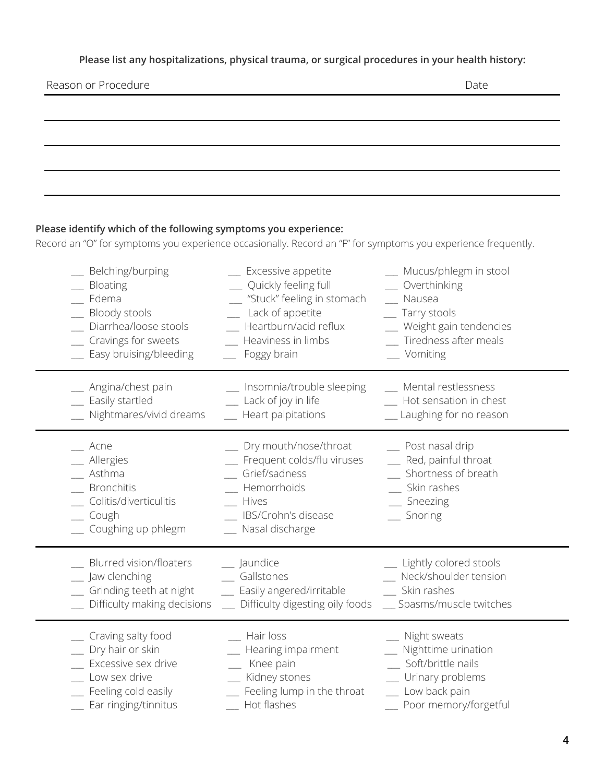#### **Please list any hospitalizations, physical trauma, or surgical procedures in your health history:**

#### Reason or Procedure

#### **Please identify which of the following symptoms you experience:**

Record an "O" for symptoms you experience occasionally. Record an "F" for symptoms you experience frequently.

| _ Belching/burping                                                                                          | _ Excessive appetite                                                                                                                       | __ Mucus/phlegm in stool                                                                                    |
|-------------------------------------------------------------------------------------------------------------|--------------------------------------------------------------------------------------------------------------------------------------------|-------------------------------------------------------------------------------------------------------------|
| Bloating                                                                                                    | Quickly feeling full                                                                                                                       | _ Overthinking                                                                                              |
| _ Edema                                                                                                     | "Stuck" feeling in stomach                                                                                                                 | Nausea                                                                                                      |
| Bloody stools                                                                                               | Lack of appetite                                                                                                                           | __ Tarry stools                                                                                             |
| Diarrhea/loose stools                                                                                       | Heartburn/acid reflux                                                                                                                      | _ Weight gain tendencies                                                                                    |
| Cravings for sweets                                                                                         | Heaviness in limbs                                                                                                                         | _ Tiredness after meals                                                                                     |
| Easy bruising/bleeding                                                                                      | Foggy brain                                                                                                                                | _ Vomiting                                                                                                  |
| _ Angina/chest pain                                                                                         | __ Insomnia/trouble sleeping                                                                                                               | _ Mental restlessness                                                                                       |
| _ Easily startled                                                                                           | _ Lack of joy in life                                                                                                                      | Hot sensation in chest                                                                                      |
| Nightmares/vivid dreams                                                                                     | _ Heart palpitations                                                                                                                       | _ Laughing for no reason                                                                                    |
| Acne<br>_ Allergies<br>$\_$ Asthma<br>Bronchitis<br>Colitis/diverticulitis<br>_ Cough<br>Coughing up phlegm | _ Dry mouth/nose/throat<br>_ Frequent colds/flu viruses<br>Grief/sadness<br>Hemorrhoids<br>Hives<br>IBS/Crohn's disease<br>Nasal discharge | _ Post nasal drip<br>_ Red, painful throat<br>Shortness of breath<br>_ Skin rashes<br>_ Sneezing<br>Snoring |
| Blurred vision/floaters                                                                                     | _ Jaundice                                                                                                                                 | _ Lightly colored stools                                                                                    |
| _ Jaw clenching                                                                                             | _ Gallstones                                                                                                                               | Neck/shoulder tension                                                                                       |
| _ Grinding teeth at night                                                                                   | _ Easily angered/irritable                                                                                                                 | _ Skin rashes                                                                                               |
| Difficulty making decisions                                                                                 | _ Difficulty digesting oily foods                                                                                                          | _ Spasms/muscle twitches                                                                                    |
| Craving salty food                                                                                          | Hair loss                                                                                                                                  | _ Night sweats                                                                                              |
| _ Dry hair or skin                                                                                          | Hearing impairment                                                                                                                         | _ Nighttime urination                                                                                       |
| Excessive sex drive                                                                                         | Knee pain                                                                                                                                  | _ Soft/brittle nails                                                                                        |
| Low sex drive                                                                                               | Kidney stones                                                                                                                              | _ Urinary problems                                                                                          |
| _ Feeling cold easily                                                                                       | Feeling lump in the throat                                                                                                                 | _ Low back pain                                                                                             |
| Ear ringing/tinnitus                                                                                        | Hot flashes                                                                                                                                | _ Poor memory/forgetful                                                                                     |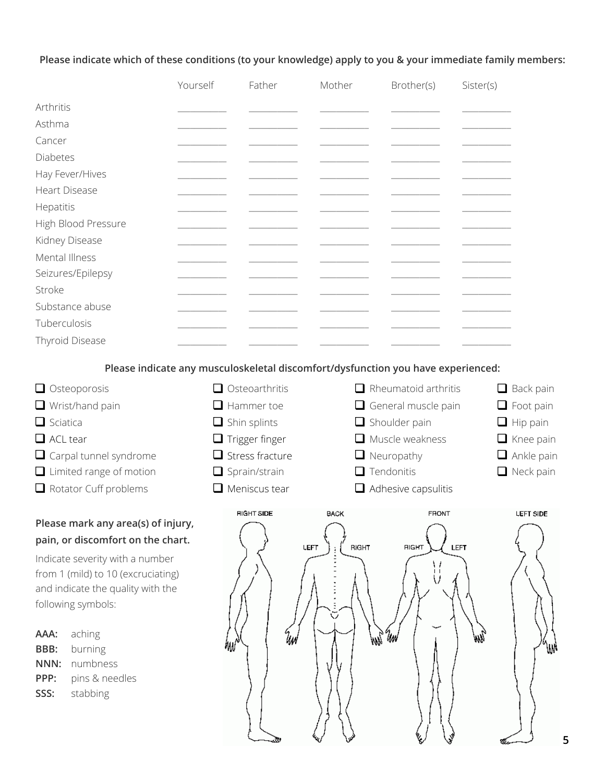#### **Please indicate which of these conditions (to your knowledge) apply to you & your immediate family members:**

|                      | Yourself | Father | Mother | Brother(s) | Sister(s) |
|----------------------|----------|--------|--------|------------|-----------|
| Arthritis            |          |        |        |            |           |
| Asthma               |          |        |        |            |           |
| Cancer               |          |        |        |            |           |
| Diabetes             |          |        |        |            |           |
| Hay Fever/Hives      |          |        |        |            |           |
| <b>Heart Disease</b> |          |        |        |            |           |
| Hepatitis            |          |        |        |            |           |
| High Blood Pressure  |          |        |        |            |           |
| Kidney Disease       |          |        |        |            |           |
| Mental Illness       |          |        |        |            |           |
| Seizures/Epilepsy    |          |        |        |            |           |
| Stroke               |          |        |        |            |           |
| Substance abuse      |          |        |        |            |           |
| Tuberculosis         |          |        |        |            |           |
| Thyroid Disease      |          |        |        |            |           |

**Please indicate any musculoskeletal discomfort/dysfunction you have experienced:**

| $\Box$ Osteoporosis            | $\Box$ Osteoarthritis  | $\Box$ Rheumatoid arthritis | $\Box$ Back pain  |
|--------------------------------|------------------------|-----------------------------|-------------------|
| $\Box$ Wrist/hand pain         | $\Box$ Hammer toe      | $\Box$ General muscle pain  | $\Box$ Foot pain  |
| $\Box$ Sciatica                | $\Box$ Shin splints    | $\Box$ Shoulder pain        | $\Box$ Hip pain   |
| $\Box$ ACL tear                | $\Box$ Trigger finger  | $\Box$ Muscle weakness      | $\Box$ Knee pain  |
| $\Box$ Carpal tunnel syndrome  | $\Box$ Stress fracture | $\Box$ Neuropathy           | $\Box$ Ankle pain |
| $\Box$ Limited range of motion | $\Box$ Sprain/strain   | $\Box$ Tendonitis           | $\Box$ Neck pain  |
| $\Box$ Rotator Cuff problems   | $\Box$ Meniscus tear   | $\Box$ Adhesive capsulitis  |                   |
|                                |                        |                             |                   |

### **Please mark any area(s) of injury, pain, or discomfort on the chart.**

Indicate severity with a number from 1 (mild) to 10 (excruciating) and indicate the quality with the following symbols:

| aching         |
|----------------|
| burning        |
| numbness       |
| pins & needles |
| stabbing       |
|                |

| <b>HIGHT SIDE</b> | <b>BACK</b>                                                  | <b>FRONT</b>                     | <b>LEFT SIDE</b> |
|-------------------|--------------------------------------------------------------|----------------------------------|------------------|
| ₩W                | LEFT<br><b>RIGHT</b><br>ł<br>$\blacksquare$<br>Ξ<br>÷,<br>ЩN | RIGHT<br><b>LEFT</b><br>Um<br>NМ | ั₩               |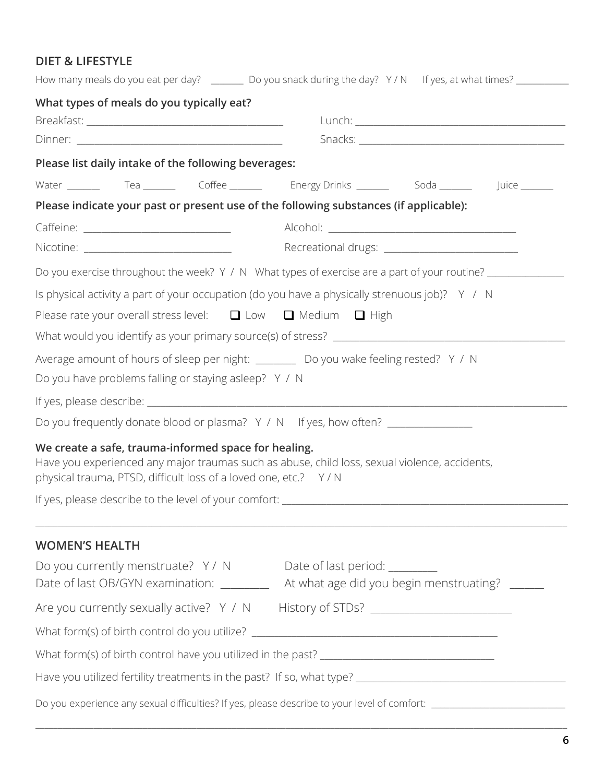### **DIET & LIFESTYLE**

|                                                                                                                                                                                                                          | How many meals do you eat per day? _________ Do you snack during the day? Y/N If yes, at what times? _________ |
|--------------------------------------------------------------------------------------------------------------------------------------------------------------------------------------------------------------------------|----------------------------------------------------------------------------------------------------------------|
| What types of meals do you typically eat?                                                                                                                                                                                |                                                                                                                |
|                                                                                                                                                                                                                          |                                                                                                                |
|                                                                                                                                                                                                                          |                                                                                                                |
| Please list daily intake of the following beverages:                                                                                                                                                                     |                                                                                                                |
|                                                                                                                                                                                                                          | Water ________  Tea ________  Coffee _______  Energy Drinks _______  Soda _______  Juice _______               |
| Please indicate your past or present use of the following substances (if applicable):                                                                                                                                    |                                                                                                                |
|                                                                                                                                                                                                                          |                                                                                                                |
|                                                                                                                                                                                                                          |                                                                                                                |
|                                                                                                                                                                                                                          | Do you exercise throughout the week? Y / N What types of exercise are a part of your routine? ____________     |
| Is physical activity a part of your occupation (do you have a physically strenuous job)? $Y / N$                                                                                                                         |                                                                                                                |
| Please rate your overall stress level: $\Box$ Low $\Box$ Medium $\Box$ High                                                                                                                                              |                                                                                                                |
|                                                                                                                                                                                                                          |                                                                                                                |
| Average amount of hours of sleep per night: __________ Do you wake feeling rested? Y / N                                                                                                                                 |                                                                                                                |
| Do you have problems falling or staying asleep? Y / N                                                                                                                                                                    |                                                                                                                |
|                                                                                                                                                                                                                          |                                                                                                                |
| Do you frequently donate blood or plasma? Y / N If yes, how often? _____________                                                                                                                                         |                                                                                                                |
| We create a safe, trauma-informed space for healing.<br>Have you experienced any major traumas such as abuse, child loss, sexual violence, accidents,<br>physical trauma, PTSD, difficult loss of a loved one, etc.? Y/N |                                                                                                                |
|                                                                                                                                                                                                                          |                                                                                                                |
| <b>WOMEN'S HEALTH</b>                                                                                                                                                                                                    |                                                                                                                |
| Do you currently menstruate? Y / N Date of last period: ________                                                                                                                                                         |                                                                                                                |
|                                                                                                                                                                                                                          | Date of last OB/GYN examination: __________ At what age did you begin menstruating? ______                     |
| Are you currently sexually active? Y / N History of STDs? ______________________                                                                                                                                         |                                                                                                                |
|                                                                                                                                                                                                                          |                                                                                                                |
|                                                                                                                                                                                                                          |                                                                                                                |
|                                                                                                                                                                                                                          |                                                                                                                |
|                                                                                                                                                                                                                          | Do you experience any sexual difficulties? If yes, please describe to your level of comfort: _________________ |

\_\_\_\_\_\_\_\_\_\_\_\_\_\_\_\_\_\_\_\_\_\_\_\_\_\_\_\_\_\_\_\_\_\_\_\_\_\_\_\_\_\_\_\_\_\_\_\_\_\_\_\_\_\_\_\_\_\_\_\_\_\_\_\_\_\_\_\_\_\_\_\_\_\_\_\_\_\_\_\_\_\_\_\_\_\_\_\_\_\_\_\_\_\_\_\_\_\_\_\_\_\_\_\_\_\_\_\_\_\_\_\_\_\_\_\_\_\_\_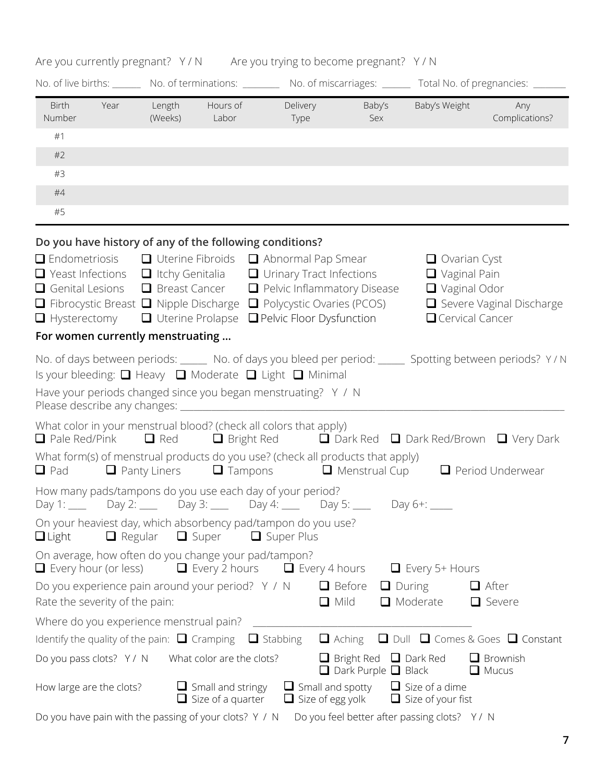### Are you currently pregnant? Y / N

|  |  |  |  | Are you trying to become pregnant? Y/N |  |
|--|--|--|--|----------------------------------------|--|
|--|--|--|--|----------------------------------------|--|

|                             |                                |                                                                                                                                   |                                                         |                                                                                                                                                                                                                                                                                                  |                                                                      | No. of live births: No. of terminations: No. of miscarriages: No. of miscarriages: No. of pregnancies: No. of pregnancies: |                                                                                                          |
|-----------------------------|--------------------------------|-----------------------------------------------------------------------------------------------------------------------------------|---------------------------------------------------------|--------------------------------------------------------------------------------------------------------------------------------------------------------------------------------------------------------------------------------------------------------------------------------------------------|----------------------------------------------------------------------|----------------------------------------------------------------------------------------------------------------------------|----------------------------------------------------------------------------------------------------------|
| Birth<br>Number             | Year                           | (Weeks) Labor                                                                                                                     | Length Hours of                                         | Delivery<br>Type                                                                                                                                                                                                                                                                                 | Baby's<br>Sex                                                        | Baby's Weight                                                                                                              | Any<br>Complications?                                                                                    |
| #1                          |                                |                                                                                                                                   |                                                         |                                                                                                                                                                                                                                                                                                  |                                                                      |                                                                                                                            |                                                                                                          |
| #2                          |                                |                                                                                                                                   |                                                         |                                                                                                                                                                                                                                                                                                  |                                                                      |                                                                                                                            |                                                                                                          |
| #3                          |                                |                                                                                                                                   |                                                         |                                                                                                                                                                                                                                                                                                  |                                                                      |                                                                                                                            |                                                                                                          |
| $#4$                        |                                |                                                                                                                                   |                                                         |                                                                                                                                                                                                                                                                                                  |                                                                      |                                                                                                                            |                                                                                                          |
| #5                          |                                |                                                                                                                                   |                                                         |                                                                                                                                                                                                                                                                                                  |                                                                      |                                                                                                                            |                                                                                                          |
| $\Box$ Hysterectomy         |                                | $\Box$ Yeast Infections $\Box$ Itchy Genitalia<br>$\Box$ Genital Lesions $\Box$ Breast Cancer<br>For women currently menstruating | Do you have history of any of the following conditions? | $\Box$ Endometriosis $\Box$ Uterine Fibroids $\Box$ Abnormal Pap Smear<br>$\Box$ Urinary Tract Infections<br>$\Box$ Pelvic Inflammatory Disease<br>$\Box$ Fibrocystic Breast $\Box$ Nipple Discharge $\Box$ Polycystic Ovaries (PCOS)<br>$\Box$ Uterine Prolapse $\Box$ Pelvic Floor Dysfunction |                                                                      | $\Box$ Ovarian Cyst<br>$\Box$ Vaginal Pain<br>$\Box$ Vaginal Odor<br>$\Box$ Cervical Cancer                                | Severe Vaginal Discharge                                                                                 |
|                             |                                |                                                                                                                                   |                                                         |                                                                                                                                                                                                                                                                                                  |                                                                      |                                                                                                                            | No. of days between periods: _____ No. of days you bleed per period: _____ Spotting between periods? Y/N |
|                             |                                |                                                                                                                                   |                                                         | Is your bleeding: $\Box$ Heavy $\Box$ Moderate $\Box$ Light $\Box$ Minimal                                                                                                                                                                                                                       |                                                                      |                                                                                                                            |                                                                                                          |
|                             |                                |                                                                                                                                   |                                                         | Have your periods changed since you began menstruating? Y / N                                                                                                                                                                                                                                    |                                                                      |                                                                                                                            |                                                                                                          |
| $\Box$ Pale Red/Pink        |                                | $\Box$ Red                                                                                                                        | $\Box$ Bright Red                                       | What color in your menstrual blood? (check all colors that apply)                                                                                                                                                                                                                                |                                                                      |                                                                                                                            | $\Box$ Dark Red $\Box$ Dark Red/Brown $\Box$ Very Dark                                                   |
|                             |                                |                                                                                                                                   |                                                         | What form(s) of menstrual products do you use? (check all products that apply)<br>$\Box$ Pad $\Box$ Panty Liners $\Box$ Tampons $\Box$ Menstrual Cup                                                                                                                                             |                                                                      |                                                                                                                            | $\Box$ Period Underwear                                                                                  |
|                             |                                |                                                                                                                                   |                                                         | How many pads/tampons do you use each day of your period?<br>Day 1: _____ Day 2: _____ Day 3: ____ Day 4: ____ Day 5: ____ Day 6+: ____                                                                                                                                                          |                                                                      |                                                                                                                            |                                                                                                          |
| $\Box$ Light                |                                | $\Box$ Regular $\Box$ Super                                                                                                       |                                                         | On your heaviest day, which absorbency pad/tampon do you use?<br>$\Box$ Super Plus                                                                                                                                                                                                               |                                                                      |                                                                                                                            |                                                                                                          |
| $\Box$ Every hour (or less) |                                |                                                                                                                                   | On average, how often do you change your pad/tampon?    | $\Box$ Every 2 hours $\Box$ Every 4 hours                                                                                                                                                                                                                                                        |                                                                      | $\Box$ Every 5+ Hours                                                                                                      |                                                                                                          |
|                             | Rate the severity of the pain: |                                                                                                                                   | Do you experience pain around your period? Y / N        | $\Box$ Mild                                                                                                                                                                                                                                                                                      | $\Box$ Before                                                        | $\Box$ During<br>$\Box$ Moderate                                                                                           | $\Box$ After<br>$\Box$ Severe                                                                            |
|                             |                                | Where do you experience menstrual pain?                                                                                           |                                                         |                                                                                                                                                                                                                                                                                                  |                                                                      |                                                                                                                            |                                                                                                          |
|                             |                                | Identify the quality of the pain: $\Box$ Cramping                                                                                 |                                                         | $\Box$ Stabbing                                                                                                                                                                                                                                                                                  | $\Box$ Aching                                                        |                                                                                                                            | $\Box$ Dull $\Box$ Comes & Goes $\Box$ Constant                                                          |
| Do you pass clots? Y / N    |                                |                                                                                                                                   | What color are the clots?                               |                                                                                                                                                                                                                                                                                                  | $\Box$ Bright Red $\Box$ Dark Red<br>$\Box$ Dark Purple $\Box$ Black |                                                                                                                            | Brownish<br>$\Box$ Mucus                                                                                 |
| How large are the clots?    |                                |                                                                                                                                   | $\Box$ Small and stringy<br>$\Box$ Size of a quarter    | $\Box$ Small and spotty<br>$\Box$ Size of egg yolk                                                                                                                                                                                                                                               |                                                                      | $\Box$ Size of a dime<br>$\Box$ Size of your fist                                                                          |                                                                                                          |
|                             |                                |                                                                                                                                   |                                                         |                                                                                                                                                                                                                                                                                                  |                                                                      |                                                                                                                            |                                                                                                          |